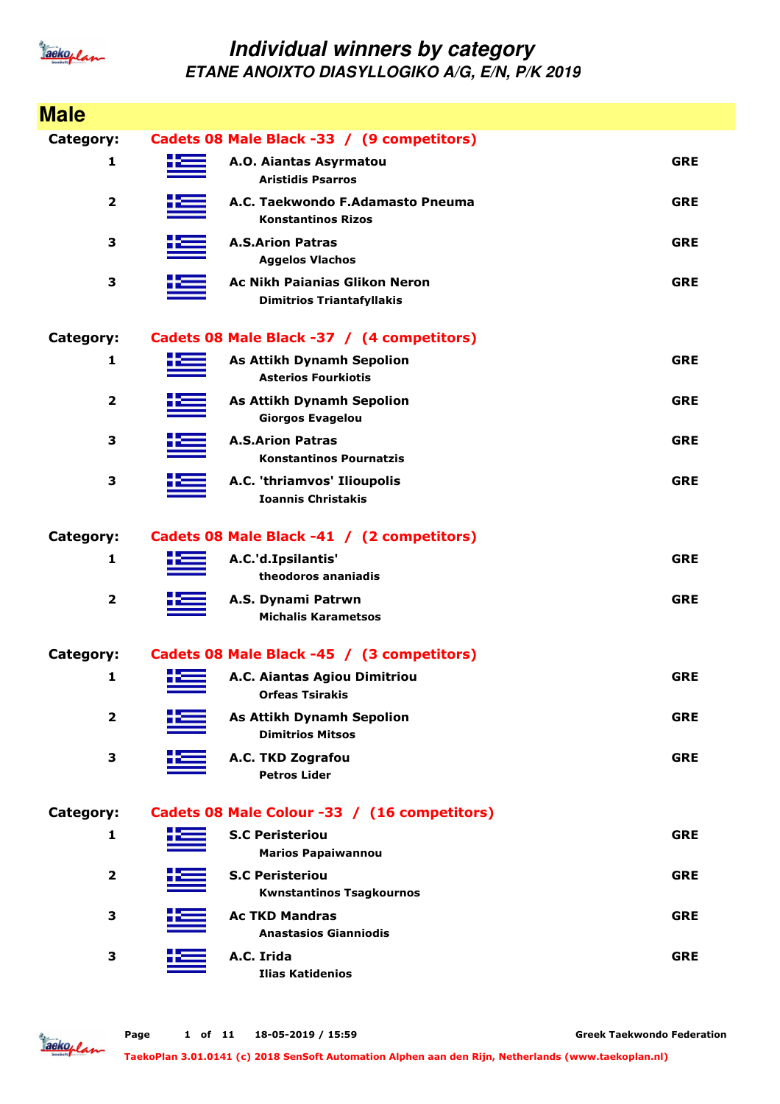

| <b>Male</b>             |    |                                                                          |            |
|-------------------------|----|--------------------------------------------------------------------------|------------|
| Category:               |    | Cadets 08 Male Black -33 / (9 competitors)                               |            |
| 1                       | HЕ | A.O. Aiantas Asyrmatou<br><b>Aristidis Psarros</b>                       | <b>GRE</b> |
| $\mathbf{2}$            |    | A.C. Taekwondo F.Adamasto Pneuma<br><b>Konstantinos Rizos</b>            | <b>GRE</b> |
| 3                       |    | <b>A.S.Arion Patras</b><br><b>Aggelos Vlachos</b>                        | <b>GRE</b> |
| 3                       |    | <b>Ac Nikh Paianias Glikon Neron</b><br><b>Dimitrios Triantafyllakis</b> | <b>GRE</b> |
| Category:               |    | Cadets 08 Male Black -37 / (4 competitors)                               |            |
| 1                       |    | <b>As Attikh Dynamh Sepolion</b><br><b>Asterios Fourkiotis</b>           | <b>GRE</b> |
| $\mathbf{2}$            |    | <b>As Attikh Dynamh Sepolion</b><br><b>Giorgos Evagelou</b>              | <b>GRE</b> |
| 3                       |    | <b>A.S.Arion Patras</b><br><b>Konstantinos Pournatzis</b>                | <b>GRE</b> |
| 3                       |    | A.C. 'thriamvos' Ilioupolis<br><b>Ioannis Christakis</b>                 | <b>GRE</b> |
| Category:               |    | Cadets 08 Male Black -41 / (2 competitors)                               |            |
| 1                       |    | A.C.'d.Ipsilantis'<br>theodoros ananiadis                                | <b>GRE</b> |
| $\overline{\mathbf{2}}$ |    | A.S. Dynami Patrwn<br><b>Michalis Karametsos</b>                         | <b>GRE</b> |
| Category:               |    | Cadets 08 Male Black -45 / (3 competitors)                               |            |
| 1                       | X. | A.C. Aiantas Agiou Dimitriou<br><b>Orfeas Tsirakis</b>                   | <b>GRE</b> |
| $\overline{\mathbf{2}}$ |    | <b>As Attikh Dynamh Sepolion</b><br><b>Dimitrios Mitsos</b>              | <b>GRE</b> |
| 3                       |    | A.C. TKD Zografou<br><b>Petros Lider</b>                                 | <b>GRE</b> |
| <b>Category:</b>        |    | Cadets 08 Male Colour -33 / (16 competitors)                             |            |
| 1                       |    | <b>S.C Peristeriou</b><br><b>Marios Papaiwannou</b>                      | <b>GRE</b> |
| 2                       |    | <b>S.C Peristeriou</b><br><b>Kwnstantinos Tsagkournos</b>                | <b>GRE</b> |
| 3                       |    | <b>Ac TKD Mandras</b><br><b>Anastasios Gianniodis</b>                    | <b>GRE</b> |
| 3                       |    | A.C. Irida<br><b>Ilias Katidenios</b>                                    | <b>GRE</b> |

Jackoplan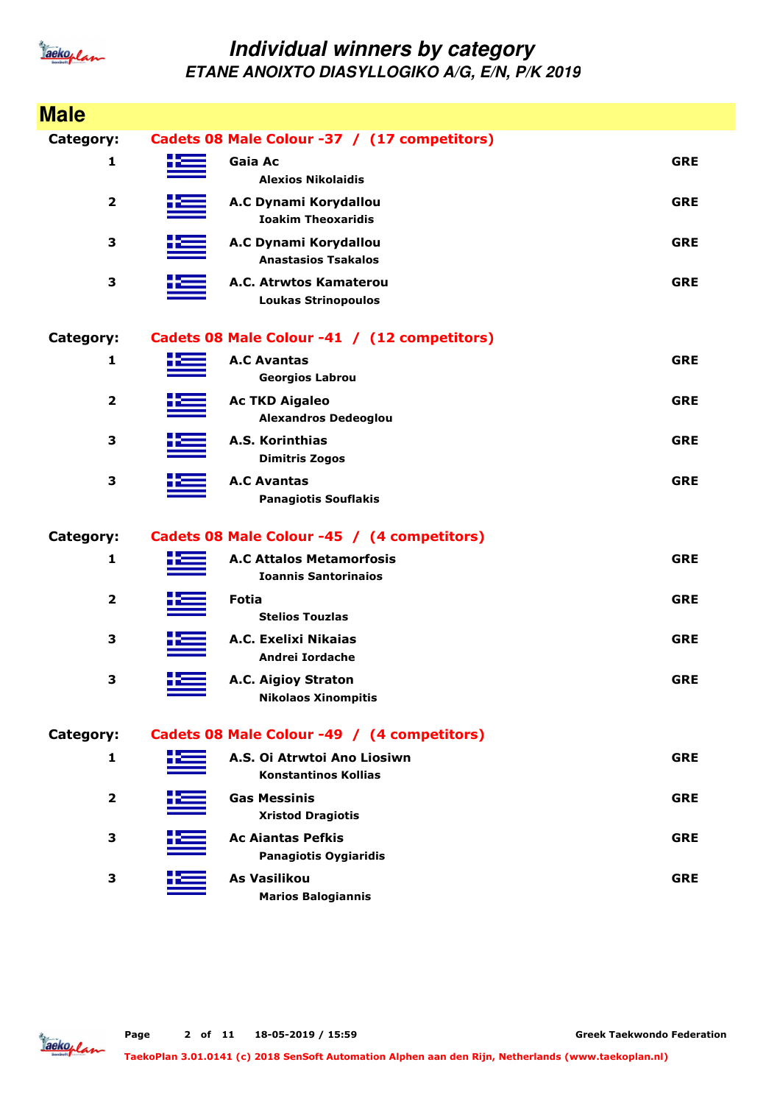

| <b>Male</b>             |                                                                |            |
|-------------------------|----------------------------------------------------------------|------------|
| Category:               | Cadets 08 Male Colour -37 / (17 competitors)                   |            |
| 1                       | Gaia Ac<br><b>Alexios Nikolaidis</b>                           | <b>GRE</b> |
| $\overline{\mathbf{2}}$ | A.C Dynami Korydallou<br><b>Ioakim Theoxaridis</b>             | <b>GRE</b> |
| 3                       | A.C Dynami Korydallou<br><b>Anastasios Tsakalos</b>            | <b>GRE</b> |
| 3                       | A.C. Atrwtos Kamaterou<br><b>Loukas Strinopoulos</b>           | <b>GRE</b> |
| Category:               | Cadets 08 Male Colour -41 / (12 competitors)                   |            |
| 1                       | <b>A.C Avantas</b><br><b>Georgios Labrou</b>                   | <b>GRE</b> |
| $\mathbf{2}$            | <b>Ac TKD Aigaleo</b><br><b>Alexandros Dedeoglou</b>           | <b>GRE</b> |
| 3                       | A.S. Korinthias<br><b>Dimitris Zogos</b>                       | <b>GRE</b> |
| 3                       | <b>A.C Avantas</b><br><b>Panagiotis Souflakis</b>              | <b>GRE</b> |
| Category:               | Cadets 08 Male Colour -45 / (4 competitors)                    |            |
| 1                       | <b>A.C Attalos Metamorfosis</b><br><b>Ioannis Santorinaios</b> | <b>GRE</b> |
| $\overline{\mathbf{2}}$ | <b>Fotia</b><br><b>Stelios Touzlas</b>                         | <b>GRE</b> |
| 3                       | A.C. Exelixi Nikaias<br>Andrei Iordache                        | <b>GRE</b> |
| 3                       | A.C. Aigioy Straton<br><b>Nikolaos Xinompitis</b>              | <b>GRE</b> |
| Category:               | Cadets 08 Male Colour -49 / (4 competitors)                    |            |
| 1                       | A.S. Oi Atrwtoi Ano Liosiwn<br><b>Konstantinos Kollias</b>     | <b>GRE</b> |
| $\mathbf{2}$            | <b>Gas Messinis</b><br><b>Xristod Dragiotis</b>                | <b>GRE</b> |
| 3                       | <b>Ac Aiantas Pefkis</b><br><b>Panagiotis Oygiaridis</b>       | <b>GRE</b> |
| 3                       | <b>As Vasilikou</b><br><b>Marios Balogiannis</b>               | <b>GRE</b> |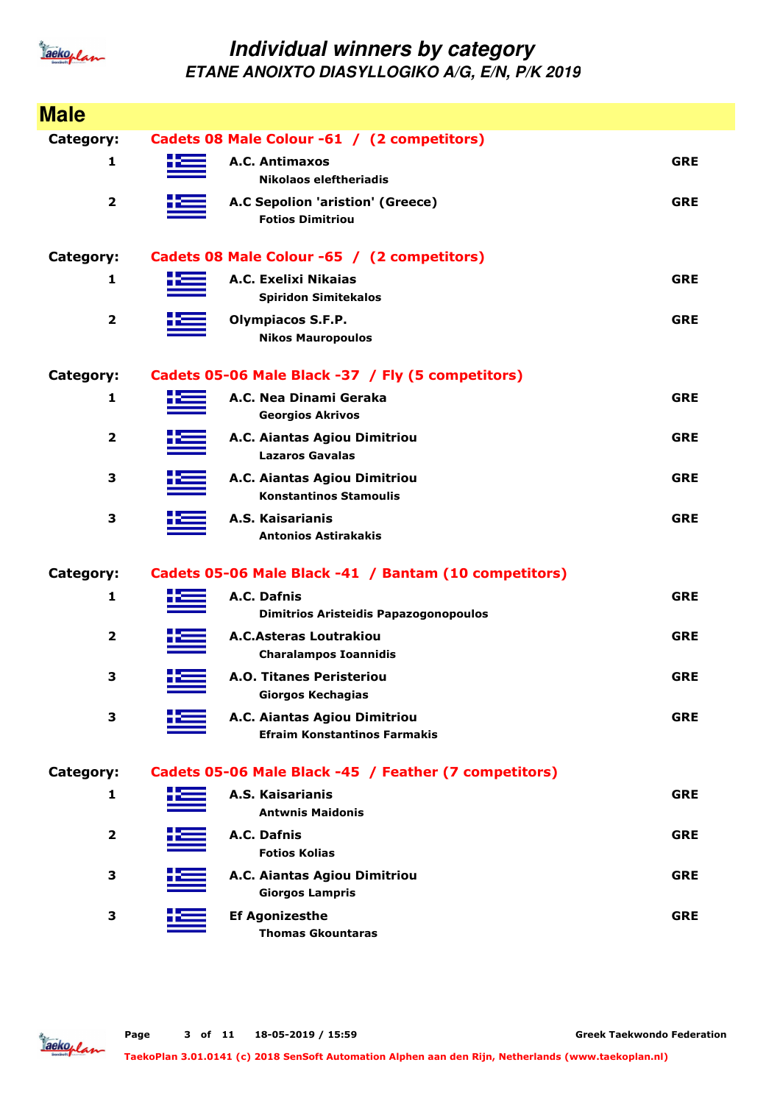

| <b>Male</b>             |    |                                                                     |            |
|-------------------------|----|---------------------------------------------------------------------|------------|
| <b>Category:</b>        |    | Cadets 08 Male Colour -61 / (2 competitors)                         |            |
| 1                       |    | A.C. Antimaxos<br>Nikolaos eleftheriadis                            | <b>GRE</b> |
| $\overline{\mathbf{2}}$ |    | A.C Sepolion 'aristion' (Greece)<br><b>Fotios Dimitriou</b>         | <b>GRE</b> |
| <b>Category:</b>        |    | Cadets 08 Male Colour -65 / (2 competitors)                         |            |
| 1                       |    | A.C. Exelixi Nikaias<br><b>Spiridon Simitekalos</b>                 | <b>GRE</b> |
| $\overline{\mathbf{2}}$ |    | <b>Olympiacos S.F.P.</b><br><b>Nikos Mauropoulos</b>                | <b>GRE</b> |
| <b>Category:</b>        |    | Cadets 05-06 Male Black -37 / Fly (5 competitors)                   |            |
| 1                       |    | A.C. Nea Dinami Geraka<br><b>Georgios Akrivos</b>                   | <b>GRE</b> |
| $\overline{\mathbf{2}}$ |    | A.C. Aiantas Agiou Dimitriou<br><b>Lazaros Gavalas</b>              | <b>GRE</b> |
| 3                       |    | A.C. Aiantas Agiou Dimitriou<br><b>Konstantinos Stamoulis</b>       | <b>GRE</b> |
| 3                       |    | A.S. Kaisarianis<br><b>Antonios Astirakakis</b>                     | <b>GRE</b> |
| <b>Category:</b>        |    | Cadets 05-06 Male Black -41 / Bantam (10 competitors)               |            |
| $\mathbf{1}$            |    | A.C. Dafnis<br><b>Dimitrios Aristeidis Papazogonopoulos</b>         | <b>GRE</b> |
| $\mathbf{2}$            |    | <b>A.C.Asteras Loutrakiou</b><br><b>Charalampos Ioannidis</b>       | <b>GRE</b> |
| 3                       | tЕ | <b>A.O. Titanes Peristeriou</b><br><b>Giorgos Kechagias</b>         | <b>GRE</b> |
| 3                       |    | A.C. Aiantas Agiou Dimitriou<br><b>Efraim Konstantinos Farmakis</b> | <b>GRE</b> |
| Category:               |    | Cadets 05-06 Male Black -45 / Feather (7 competitors)               |            |
| 1                       |    | A.S. Kaisarianis<br><b>Antwnis Maidonis</b>                         | <b>GRE</b> |
| $\mathbf{2}$            |    | A.C. Dafnis<br><b>Fotios Kolias</b>                                 | <b>GRE</b> |
| 3                       |    | A.C. Aiantas Agiou Dimitriou<br><b>Giorgos Lampris</b>              | <b>GRE</b> |
| 3                       |    | <b>Ef Agonizesthe</b><br><b>Thomas Gkountaras</b>                   | <b>GRE</b> |

Jackoplan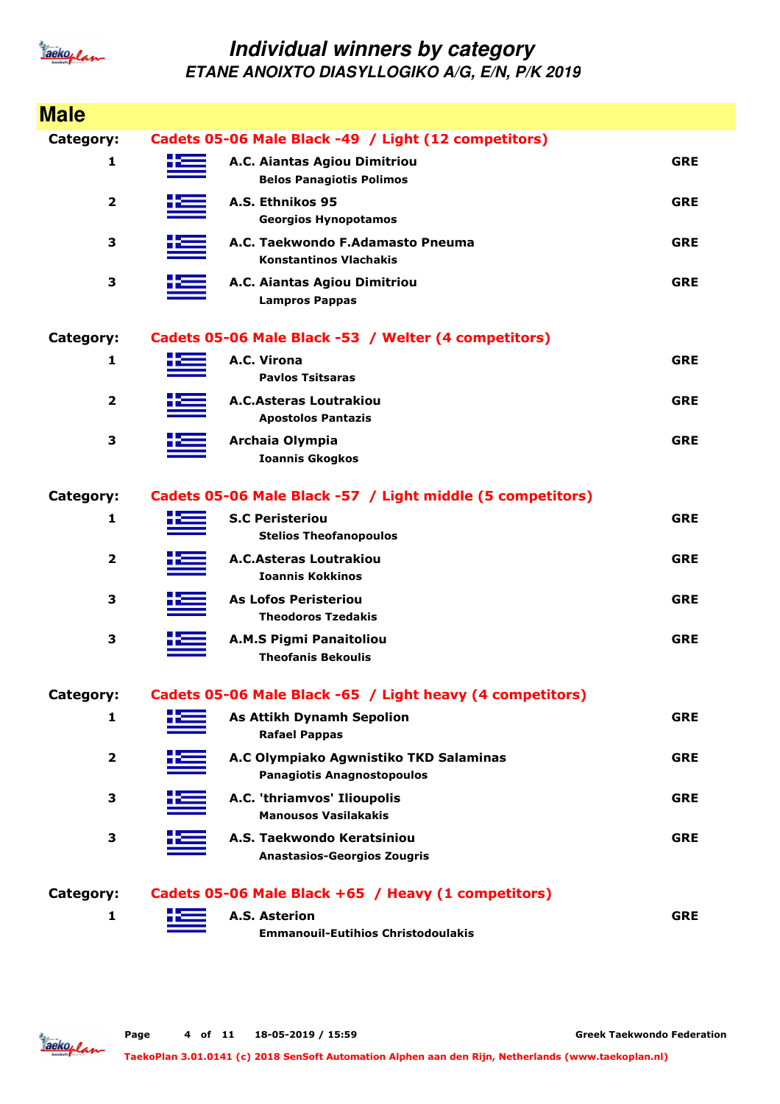

| <b>Male</b>             |    |                                                                             |            |
|-------------------------|----|-----------------------------------------------------------------------------|------------|
| Category:               |    | Cadets 05-06 Male Black -49 / Light (12 competitors)                        |            |
| 1                       | НΞ | A.C. Aiantas Agiou Dimitriou<br><b>Belos Panagiotis Polimos</b>             | <b>GRE</b> |
| $\overline{\mathbf{2}}$ |    | A.S. Ethnikos 95<br><b>Georgios Hynopotamos</b>                             | <b>GRE</b> |
| 3                       |    | A.C. Taekwondo F.Adamasto Pneuma<br><b>Konstantinos Vlachakis</b>           | <b>GRE</b> |
| 3                       |    | A.C. Aiantas Agiou Dimitriou<br><b>Lampros Pappas</b>                       | <b>GRE</b> |
| Category:               |    | Cadets 05-06 Male Black -53 / Welter (4 competitors)                        |            |
| 1                       |    | A.C. Virona<br><b>Pavlos Tsitsaras</b>                                      | <b>GRE</b> |
| $\overline{2}$          |    | <b>A.C.Asteras Loutrakiou</b><br><b>Apostolos Pantazis</b>                  | <b>GRE</b> |
| 3                       |    | Archaia Olympia<br><b>Ioannis Gkogkos</b>                                   | <b>GRE</b> |
| Category:               |    | Cadets 05-06 Male Black -57 / Light middle (5 competitors)                  |            |
| 1                       |    | <b>S.C Peristeriou</b><br><b>Stelios Theofanopoulos</b>                     | <b>GRE</b> |
| $\overline{2}$          |    | <b>A.C.Asteras Loutrakiou</b><br><b>Ioannis Kokkinos</b>                    | <b>GRE</b> |
| 3                       |    | <b>As Lofos Peristeriou</b><br><b>Theodoros Tzedakis</b>                    | <b>GRE</b> |
| 3                       |    | <b>A.M.S Pigmi Panaitoliou</b><br><b>Theofanis Bekoulis</b>                 | <b>GRE</b> |
| Category:               |    | Cadets 05-06 Male Black -65 / Light heavy (4 competitors)                   |            |
| 1                       |    | <b>As Attikh Dynamh Sepolion</b><br><b>Rafael Pappas</b>                    | <b>GRE</b> |
| $\mathbf 2$             |    | A.C Olympiako Agwnistiko TKD Salaminas<br><b>Panagiotis Anagnostopoulos</b> | <b>GRE</b> |
| 3                       |    | A.C. 'thriamvos' Ilioupolis<br><b>Manousos Vasilakakis</b>                  | <b>GRE</b> |
| 3                       |    | A.S. Taekwondo Keratsiniou<br><b>Anastasios-Georgios Zougris</b>            | <b>GRE</b> |
| Category:               |    | Cadets 05-06 Male Black +65 / Heavy (1 competitors)                         |            |
| 1                       |    | A.S. Asterion<br><b>Emmanouil-Eutihios Christodoulakis</b>                  | <b>GRE</b> |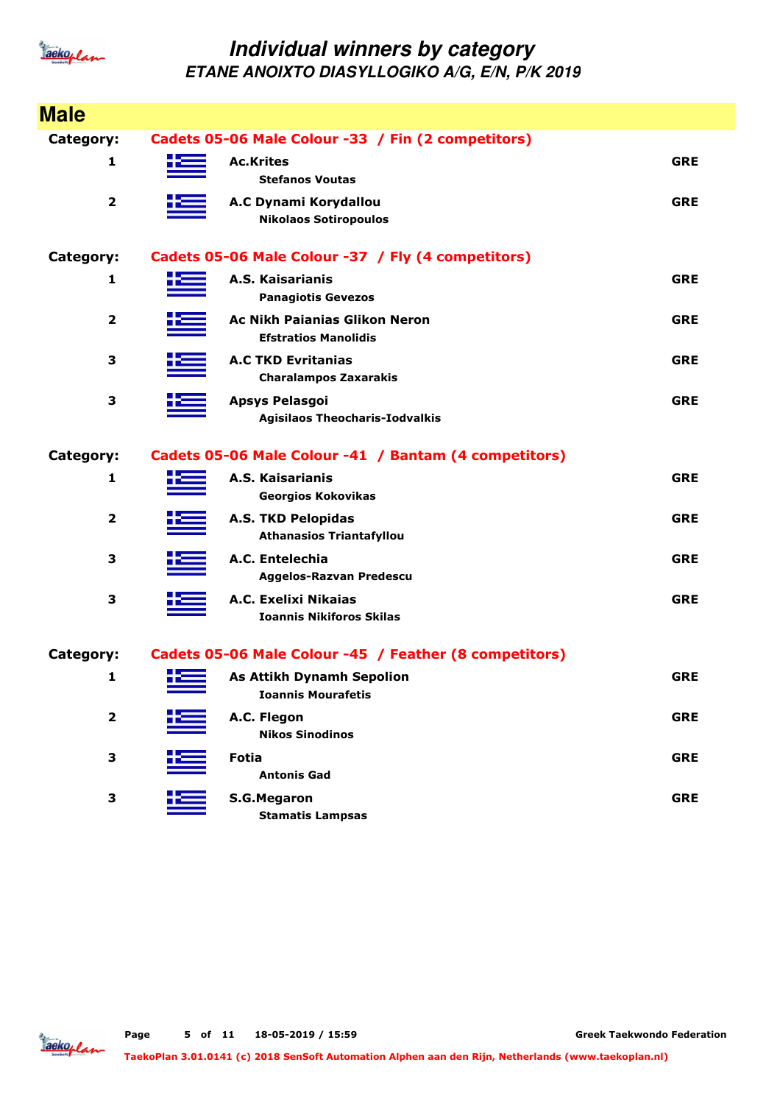

| <b>Male</b>             |      |                                                                     |            |
|-------------------------|------|---------------------------------------------------------------------|------------|
| Category:               |      | Cadets 05-06 Male Colour -33 / Fin (2 competitors)                  |            |
| 1                       |      | <b>Ac.Krites</b><br><b>Stefanos Voutas</b>                          | <b>GRE</b> |
| $\overline{\mathbf{2}}$ |      | A.C Dynami Korydallou<br><b>Nikolaos Sotiropoulos</b>               | <b>GRE</b> |
| Category:               |      | Cadets 05-06 Male Colour -37 / Fly (4 competitors)                  |            |
| 1                       |      | A.S. Kaisarianis<br><b>Panagiotis Gevezos</b>                       | <b>GRE</b> |
| $\overline{\mathbf{2}}$ |      | <b>Ac Nikh Paianias Glikon Neron</b><br><b>Efstratios Manolidis</b> | <b>GRE</b> |
| 3                       |      | <b>A.C TKD Evritanias</b><br><b>Charalampos Zaxarakis</b>           | <b>GRE</b> |
| 3                       |      | <b>Apsys Pelasgoi</b><br><b>Agisilaos Theocharis-Iodvalkis</b>      | <b>GRE</b> |
| Category:               |      | Cadets 05-06 Male Colour -41 / Bantam (4 competitors)               |            |
| 1                       |      | A.S. Kaisarianis<br><b>Georgios Kokovikas</b>                       | <b>GRE</b> |
| $\overline{2}$          |      | <b>A.S. TKD Pelopidas</b><br><b>Athanasios Triantafyllou</b>        | <b>GRE</b> |
| 3                       |      | A.C. Entelechia<br>Aggelos-Razvan Predescu                          | <b>GRE</b> |
| З                       |      | A.C. Exelixi Nikaias<br><b>Ioannis Nikiforos Skilas</b>             | <b>GRE</b> |
| Category:               |      | Cadets 05-06 Male Colour -45 / Feather (8 competitors)              |            |
| 1                       | H 22 | <b>As Attikh Dynamh Sepolion</b><br><b>Ioannis Mourafetis</b>       | <b>GRE</b> |
| $\overline{\mathbf{2}}$ |      | A.C. Flegon<br><b>Nikos Sinodinos</b>                               | <b>GRE</b> |
| 3                       |      | <b>Fotia</b><br><b>Antonis Gad</b>                                  | <b>GRE</b> |
| 3                       |      | <b>S.G.Megaron</b><br><b>Stamatis Lampsas</b>                       | <b>GRE</b> |

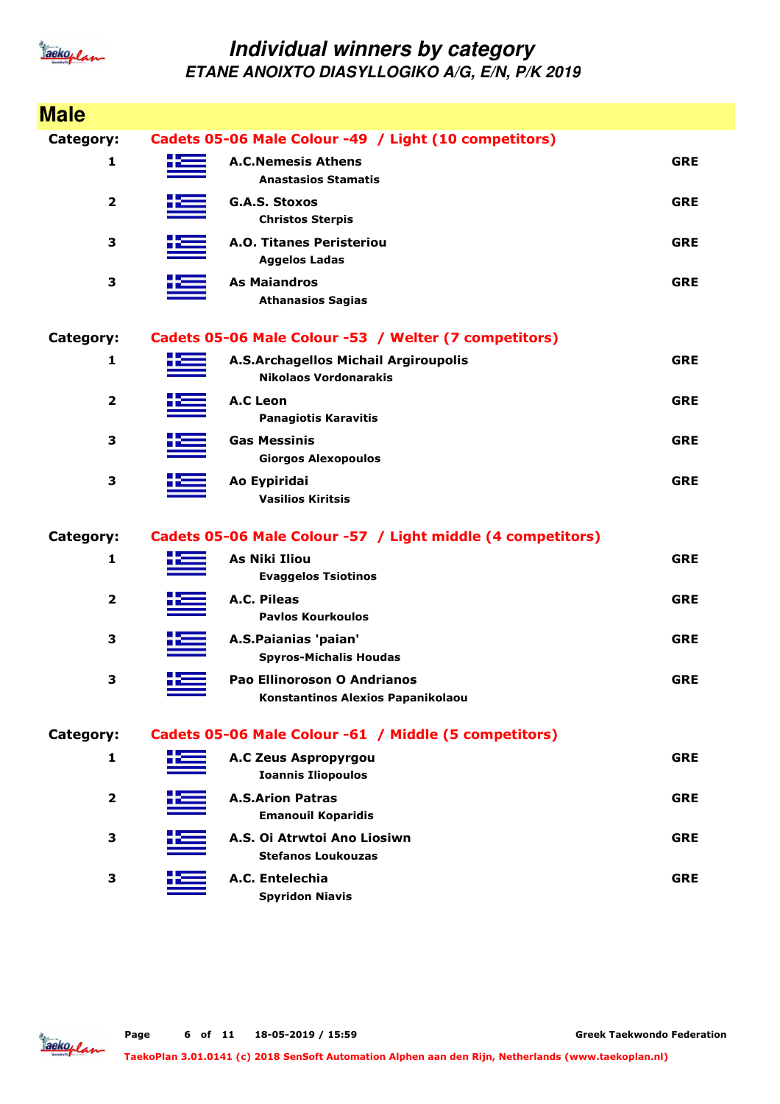

| <b>Male</b>             |      |                                                                             |            |
|-------------------------|------|-----------------------------------------------------------------------------|------------|
|                         |      |                                                                             |            |
| <b>Category:</b>        |      | Cadets 05-06 Male Colour -49 / Light (10 competitors)                       |            |
| 1                       |      | <b>A.C.Nemesis Athens</b><br><b>Anastasios Stamatis</b>                     | <b>GRE</b> |
| $\mathbf{2}$            |      | <b>G.A.S. Stoxos</b><br><b>Christos Sterpis</b>                             | <b>GRE</b> |
| 3                       |      | <b>A.O. Titanes Peristeriou</b><br><b>Aggelos Ladas</b>                     | <b>GRE</b> |
| 3                       |      | <b>As Maiandros</b><br><b>Athanasios Sagias</b>                             | <b>GRE</b> |
| Category:               |      | Cadets 05-06 Male Colour -53 / Welter (7 competitors)                       |            |
| 1                       |      | <b>A.S.Archagellos Michail Argiroupolis</b><br><b>Nikolaos Vordonarakis</b> | <b>GRE</b> |
| $\overline{\mathbf{2}}$ |      | <b>A.C Leon</b><br><b>Panagiotis Karavitis</b>                              | <b>GRE</b> |
| 3                       |      | <b>Gas Messinis</b><br><b>Giorgos Alexopoulos</b>                           | <b>GRE</b> |
| 3                       |      | Ao Eypiridai<br><b>Vasilios Kiritsis</b>                                    | <b>GRE</b> |
| Category:               |      | Cadets 05-06 Male Colour -57 / Light middle (4 competitors)                 |            |
| 1                       |      | <b>As Niki Iliou</b><br><b>Evaggelos Tsiotinos</b>                          | <b>GRE</b> |
| $\overline{\mathbf{2}}$ |      | A.C. Pileas<br><b>Pavlos Kourkoulos</b>                                     | <b>GRE</b> |
| 3                       |      | A.S.Paianias 'paian'<br><b>Spyros-Michalis Houdas</b>                       | <b>GRE</b> |
| 3                       | 45 - | <b>Pao Ellinoroson O Andrianos</b><br>Konstantinos Alexios Papanikolaou     | <b>GRE</b> |
| Category:               |      | Cadets 05-06 Male Colour -61 / Middle (5 competitors)                       |            |
| 1                       |      | <b>A.C Zeus Aspropyrgou</b><br><b>Ioannis Iliopoulos</b>                    | <b>GRE</b> |
| 2                       |      | <b>A.S.Arion Patras</b><br><b>Emanouil Koparidis</b>                        | <b>GRE</b> |
| 3                       |      | A.S. Oi Atrwtoi Ano Liosiwn<br><b>Stefanos Loukouzas</b>                    | <b>GRE</b> |
| 3                       |      | A.C. Entelechia<br><b>Spyridon Niavis</b>                                   | <b>GRE</b> |

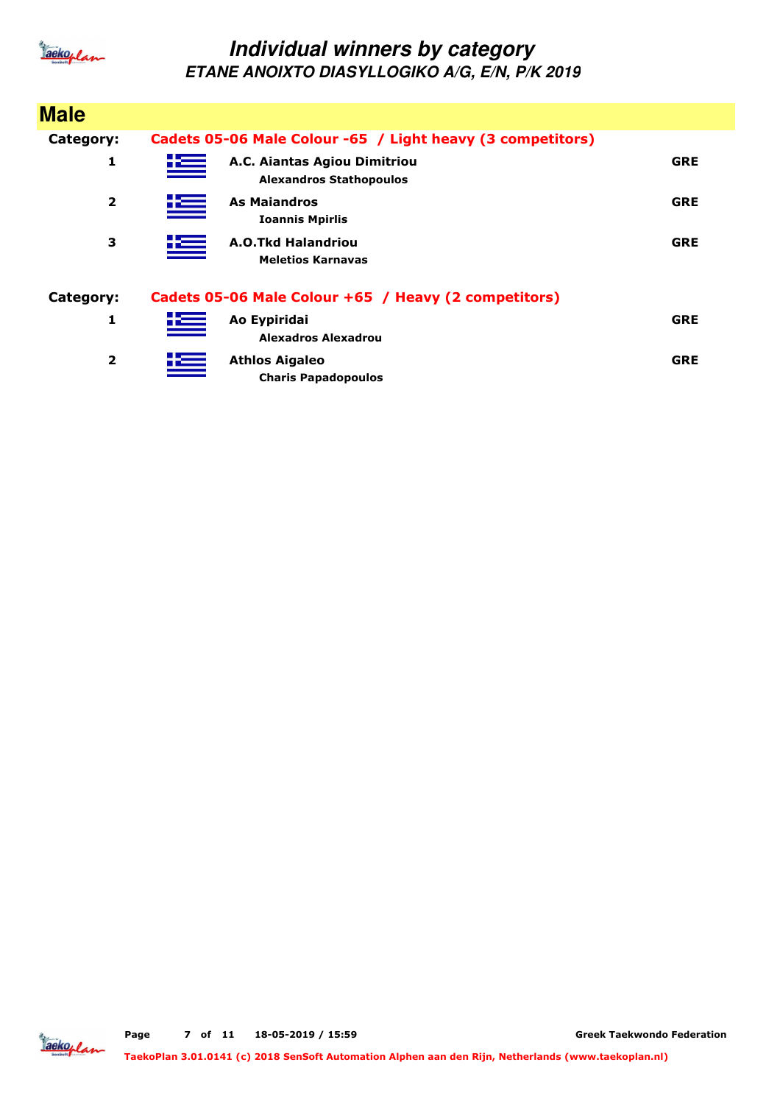

| <b>Male</b>             |                                                                              |            |
|-------------------------|------------------------------------------------------------------------------|------------|
| Category:               | Cadets 05-06 Male Colour -65 / Light heavy (3 competitors)                   |            |
| 1                       | <u>its</u><br>A.C. Aiantas Agiou Dimitriou<br><b>Alexandros Stathopoulos</b> | <b>GRE</b> |
| $\overline{2}$          | 些<br><b>As Maiandros</b><br><b>Ioannis Mpirlis</b>                           | <b>GRE</b> |
| 3                       | 些<br>A.O.Tkd Halandriou<br><b>Meletios Karnavas</b>                          | <b>GRE</b> |
| Category:               | Cadets 05-06 Male Colour +65 / Heavy (2 competitors)                         |            |
| 1                       | 些<br>Ao Eypiridai<br>Alexadros Alexadrou                                     | <b>GRE</b> |
| $\overline{\mathbf{2}}$ | <u>tes</u><br><b>Athlos Aigaleo</b><br><b>Charis Papadopoulos</b>            | <b>GRE</b> |

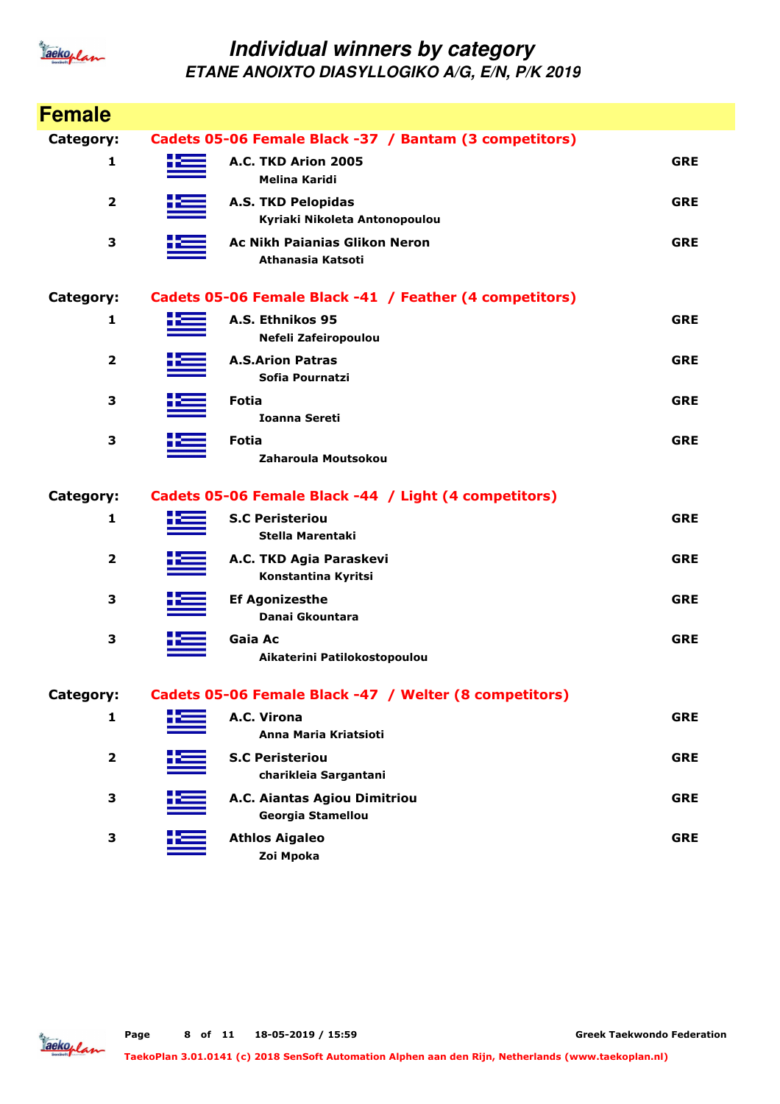

| <b>Female</b>    |                                                            |            |
|------------------|------------------------------------------------------------|------------|
| <b>Category:</b> | Cadets 05-06 Female Black -37 / Bantam (3 competitors)     |            |
| 1                | A.C. TKD Arion 2005<br><b>Melina Karidi</b>                | <b>GRE</b> |
| $\mathbf{2}$     | <b>A.S. TKD Pelopidas</b><br>Kyriaki Nikoleta Antonopoulou | <b>GRE</b> |
| 3                | <b>Ac Nikh Paianias Glikon Neron</b><br>Athanasia Katsoti  | <b>GRE</b> |
| <b>Category:</b> | Cadets 05-06 Female Black -41 / Feather (4 competitors)    |            |
| 1                | A.S. Ethnikos 95<br>Nefeli Zafeiropoulou                   | <b>GRE</b> |
| $\mathbf{2}$     | <b>A.S.Arion Patras</b><br>Sofia Pournatzi                 | <b>GRE</b> |
| 3                | <b>Fotia</b><br>Ioanna Sereti                              | <b>GRE</b> |
| 3                | <b>Fotia</b><br>Zaharoula Moutsokou                        | <b>GRE</b> |
| <b>Category:</b> | Cadets 05-06 Female Black -44 / Light (4 competitors)      |            |
| 1                | <b>S.C Peristeriou</b><br>Stella Marentaki                 | <b>GRE</b> |
| $\mathbf{2}$     | A.C. TKD Agia Paraskevi<br>Konstantina Kyritsi             | <b>GRE</b> |
| 3                | <b>Ef Agonizesthe</b><br>Danai Gkountara                   | <b>GRE</b> |
| 3                | Gaia Ac<br>Aikaterini Patilokostopoulou                    | <b>GRE</b> |
| <b>Category:</b> | Cadets 05-06 Female Black -47 / Welter (8 competitors)     |            |
| 1                | A.C. Virona<br>Anna Maria Kriatsioti                       | <b>GRE</b> |
| $\mathbf{2}$     | <b>S.C Peristeriou</b><br>charikleia Sargantani            | <b>GRE</b> |
| 3                | A.C. Aiantas Agiou Dimitriou<br><b>Georgia Stamellou</b>   | <b>GRE</b> |
| 3                | <b>Athlos Aigaleo</b><br>Zoi Mpoka                         | <b>GRE</b> |

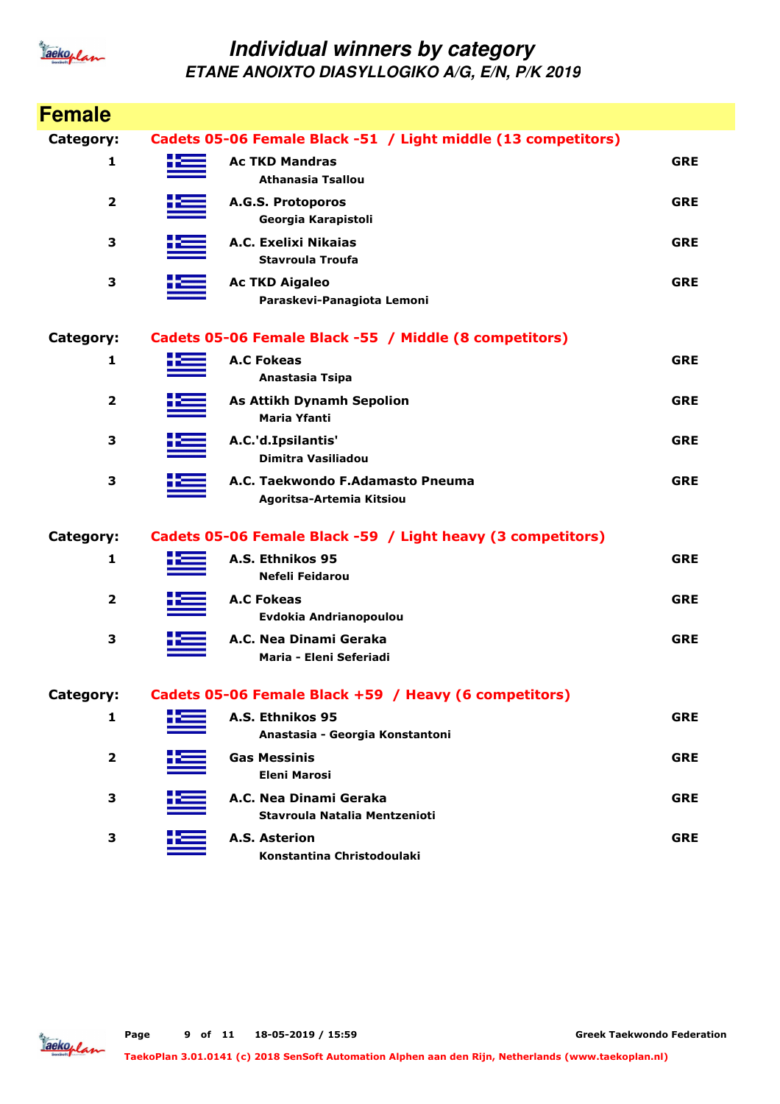

| <b>Female</b>  |    |                                                               |            |
|----------------|----|---------------------------------------------------------------|------------|
| Category:      |    | Cadets 05-06 Female Black -51 / Light middle (13 competitors) |            |
| 1              |    | <b>Ac TKD Mandras</b><br>Athanasia Tsallou                    | <b>GRE</b> |
| $\overline{2}$ |    | A.G.S. Protoporos<br>Georgia Karapistoli                      | <b>GRE</b> |
| 3              |    | A.C. Exelixi Nikaias<br><b>Stavroula Troufa</b>               | <b>GRE</b> |
| 3              |    | <b>Ac TKD Aigaleo</b><br>Paraskevi-Panagiota Lemoni           | <b>GRE</b> |
| Category:      |    | Cadets 05-06 Female Black -55 / Middle (8 competitors)        |            |
| 1              |    | <b>A.C Fokeas</b><br>Anastasia Tsipa                          | <b>GRE</b> |
| 2              |    | <b>As Attikh Dynamh Sepolion</b><br><b>Maria Yfanti</b>       | <b>GRE</b> |
| 3              |    | A.C.'d.Ipsilantis'<br>Dimitra Vasiliadou                      | <b>GRE</b> |
| 3              |    | A.C. Taekwondo F.Adamasto Pneuma<br>Agoritsa-Artemia Kitsiou  | <b>GRE</b> |
| Category:      |    | Cadets 05-06 Female Black -59 / Light heavy (3 competitors)   |            |
| 1              |    | A.S. Ethnikos 95<br>Nefeli Feidarou                           | <b>GRE</b> |
| $\overline{2}$ |    | <b>A.C Fokeas</b><br>Evdokia Andrianopoulou                   | <b>GRE</b> |
| 3              |    | A.C. Nea Dinami Geraka<br>Maria - Eleni Seferiadi             | <b>GRE</b> |
| Category:      |    | Cadets 05-06 Female Black +59 / Heavy (6 competitors)         |            |
| 1              | X. | A.S. Ethnikos 95<br>Anastasia - Georgia Konstantoni           | <b>GRE</b> |
| $\mathbf 2$    |    | <b>Gas Messinis</b><br><b>Eleni Marosi</b>                    | <b>GRE</b> |
| 3              |    | A.C. Nea Dinami Geraka<br>Stavroula Natalia Mentzenioti       | <b>GRE</b> |
| 3              |    | <b>A.S. Asterion</b><br>Konstantina Christodoulaki            | <b>GRE</b> |

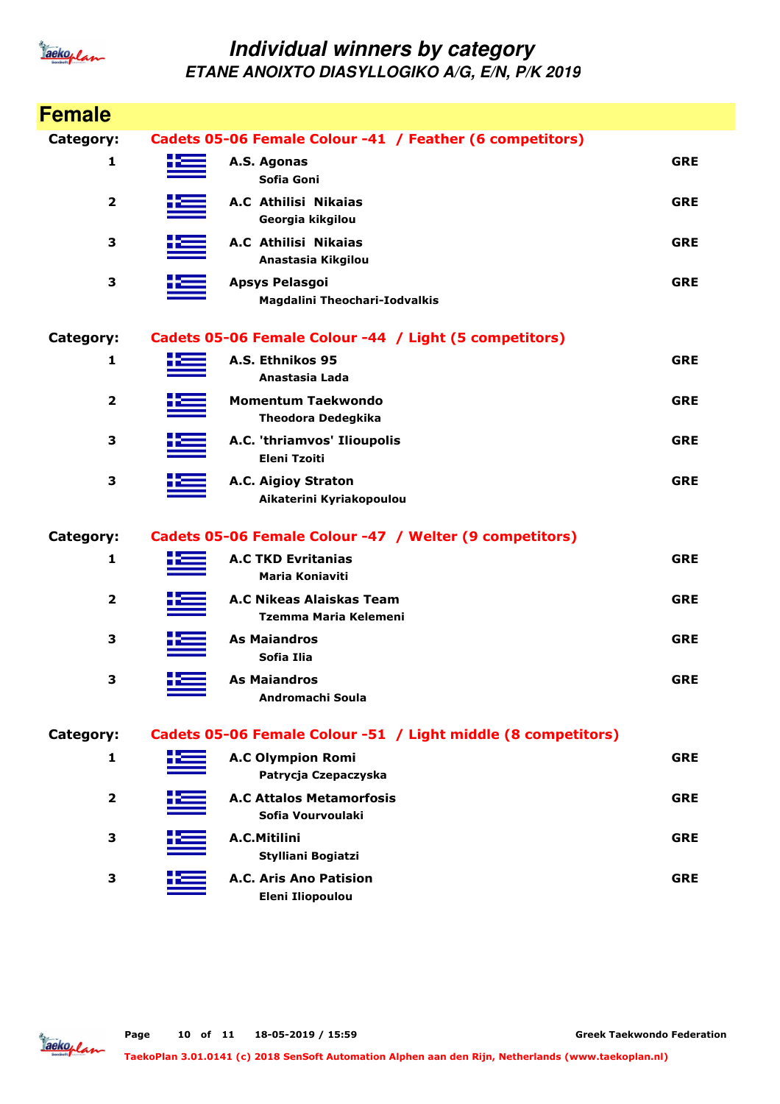

| <b>Female</b>           |      |                                                               |            |
|-------------------------|------|---------------------------------------------------------------|------------|
| Category:               |      | Cadets 05-06 Female Colour -41 / Feather (6 competitors)      |            |
| 1                       | H 22 | A.S. Agonas<br>Sofia Goni                                     | <b>GRE</b> |
| 2                       |      | A.C Athilisi Nikaias<br>Georgia kikgilou                      | <b>GRE</b> |
| 3                       |      | A.C Athilisi Nikaias<br>Anastasia Kikgilou                    | <b>GRE</b> |
| 3                       |      | <b>Apsys Pelasgoi</b><br><b>Magdalini Theochari-Iodvalkis</b> | <b>GRE</b> |
| Category:               |      | Cadets 05-06 Female Colour -44 / Light (5 competitors)        |            |
| 1                       |      | A.S. Ethnikos 95<br>Anastasia Lada                            | <b>GRE</b> |
| 2                       |      | <b>Momentum Taekwondo</b><br><b>Theodora Dedegkika</b>        | <b>GRE</b> |
| 3                       |      | A.C. 'thriamvos' Ilioupolis<br><b>Eleni Tzoiti</b>            | <b>GRE</b> |
| 3                       |      | A.C. Aigioy Straton<br>Aikaterini Kyriakopoulou               | <b>GRE</b> |
| Category:               |      | Cadets 05-06 Female Colour -47 / Welter (9 competitors)       |            |
| 1                       |      | <b>A.C TKD Evritanias</b><br><b>Maria Koniaviti</b>           | <b>GRE</b> |
| $\mathbf 2$             |      | <b>A.C Nikeas Alaiskas Team</b><br>Tzemma Maria Kelemeni      | <b>GRE</b> |
| 3                       |      | <b>As Maiandros</b><br>Sofia Ilia                             | <b>GRE</b> |
| 3                       |      | <b>As Maiandros</b><br>Andromachi Soula                       | <b>GRE</b> |
| Category:               |      | Cadets 05-06 Female Colour -51 / Light middle (8 competitors) |            |
| 1                       |      | <b>A.C Olympion Romi</b><br>Patrycja Czepaczyska              | <b>GRE</b> |
| $\overline{\mathbf{2}}$ |      | <b>A.C Attalos Metamorfosis</b><br>Sofia Vourvoulaki          | <b>GRE</b> |
| 3                       |      | A.C.Mitilini<br>Stylliani Bogiatzi                            | <b>GRE</b> |
| 3                       |      | A.C. Aris Ano Patision<br><b>Eleni Iliopoulou</b>             | <b>GRE</b> |